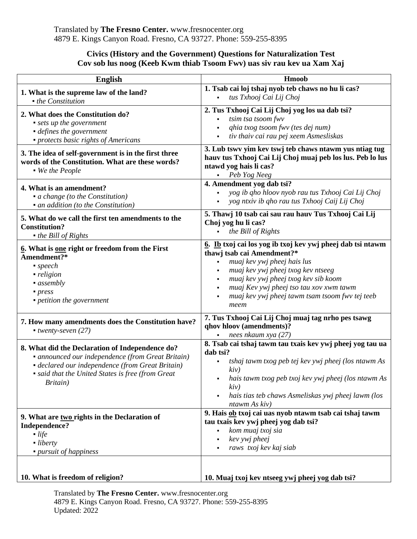## **Civics (History and the Government) Questions for Naturalization Test Cov sob lus noog (Keeb Kwm thiab Tsoom Fwv) uas siv rau kev ua Xam Xaj**

| <b>English</b>                                                                                                                                                                                                            | <b>Hmoob</b>                                                                                                                                                                                                                                                                                                |
|---------------------------------------------------------------------------------------------------------------------------------------------------------------------------------------------------------------------------|-------------------------------------------------------------------------------------------------------------------------------------------------------------------------------------------------------------------------------------------------------------------------------------------------------------|
| 1. What is the supreme law of the land?<br>$\bullet$ the Constitution                                                                                                                                                     | 1. Tsab cai loj tshaj nyob teb chaws no hu li cas?<br>tus Txhooj Cai Lij Choj<br>$\blacksquare$                                                                                                                                                                                                             |
| 2. What does the Constitution do?<br>• sets up the government<br>• defines the government<br>• protects basic rights of Americans                                                                                         | 2. Tus Txhooj Cai Lij Choj yog los ua dab tsi?<br>tsim tsa tsoom fwv<br>qhia txog tsoom fwv (tes dej num)<br>tiv thaiv cai rau pej xeem Asmesliskas                                                                                                                                                         |
| 3. The idea of self-government is in the first three<br>words of the Constitution. What are these words?<br>• We the People                                                                                               | 3. Lub tswy yim kev tswj teb chaws ntawm yus ntiag tug<br>hauv tus Txhooj Cai Lij Choj muaj peb los lus. Peb lo lus<br>ntawd yog hais li cas?<br>Peb Yog Neeg<br>$\blacksquare$                                                                                                                             |
| 4. What is an amendment?<br>• a change (to the Constitution)<br>• an addition (to the Constitution)                                                                                                                       | 4. Amendment yog dab tsi?<br>yog ib qho hloov nyob rau tus Txhooj Cai Lij Choj<br>$\blacksquare$<br>yog ntxiv ib qho rau tus Txhooj Caij Lij Choj                                                                                                                                                           |
| 5. What do we call the first ten amendments to the<br><b>Constitution?</b><br>$\bullet$ the Bill of Rights                                                                                                                | 5. Thawj 10 tsab cai sau rau hauv Tus Txhooj Cai Lij<br>Choj yog hu li cas?<br>the Bill of Rights                                                                                                                                                                                                           |
| 6. What is one right or freedom from the First<br>Amendment?*<br>$\blacksquare$ speech<br>• religion<br>$\blacksquare$ assembly<br>• press<br>• petition the government                                                   | 6. Ib txoj cai los yog ib txoj kev ywj pheej dab tsi ntawm<br>thawj tsab cai Amendment?*<br>muaj kev ywj pheej hais lus<br>muaj kev ywj pheej txog kev ntseeg<br>muaj kev ywj pheej txog kev sib koom<br>muaj Kev ywj pheej tso tau xov xwm tawm<br>muaj kev ywj pheej tawm tsam tsoom fwv tej teeb<br>meem |
| 7. How many amendments does the Constitution have?<br>$\blacksquare$ twenty-seven (27)                                                                                                                                    | 7. Tus Txhooj Cai Lij Choj muaj tag nrho pes tsawg<br>qhov hloov (amendments)?<br>nees nkaum xya (27)                                                                                                                                                                                                       |
| 8. What did the Declaration of Independence do?<br>· announced our independence (from Great Britain)<br>• declared our independence (from Great Britain)<br>• said that the United States is free (from Great<br>Britain) | 8. Tsab cai tshaj tawm tau txais kev ywj pheej yog tau ua<br>dab tsi?<br>tshaj tawm txog peb tej kev ywj pheej (los ntawm As<br>kiv)<br>hais tawm txog peb txoj kev ywj pheej (los ntawm As<br>kiv)<br>hais tias teb chaws Asmeliskas ywj pheej lawm (los<br>ntawm As kiv)                                  |
| 9. What are two rights in the Declaration of<br>Independence?<br>$\blacksquare$ life<br>$\blacksquare$ liberty<br>• pursuit of happiness                                                                                  | 9. Hais ob txoj cai uas nyob ntawm tsab cai tshaj tawm<br>tau txais kev ywj pheej yog dab tsi?<br>kom muaj txoj sia<br>kev ywj pheej<br>raws txoj kev kaj siab                                                                                                                                              |
| 10. What is freedom of religion?                                                                                                                                                                                          | 10. Muaj txoj kev ntseeg ywj pheej yog dab tsi?                                                                                                                                                                                                                                                             |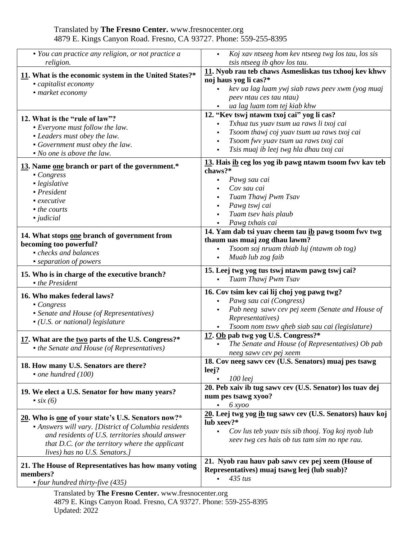| • You can practice any religion, or not practice a<br>religion.                                                                                                                                                                                   | Koj xav ntseeg hom kev ntseeg twg los tau, los sis<br>$\blacksquare$<br>tsis ntseeg ib qhov los tau.                                                                                                                                 |
|---------------------------------------------------------------------------------------------------------------------------------------------------------------------------------------------------------------------------------------------------|--------------------------------------------------------------------------------------------------------------------------------------------------------------------------------------------------------------------------------------|
| 11. What is the economic system in the United States?*<br>capitalist economy<br>• market economy                                                                                                                                                  | 11. Nyob rau teb chaws Asmesliskas tus txhooj kev khwv<br>noj haus yog li cas?*<br>kev ua lag luam ywj siab raws peev xwm (yog muaj<br>peev ntau ces tau ntau)<br>ua lag luam tom tej kiab khw                                       |
| 12. What is the "rule of law"?<br>• Everyone must follow the law.<br>• Leaders must obey the law.<br>• Government must obey the law.<br>$\bullet$ No one is above the law.                                                                        | 12. "Kev tswj ntawm txoj cai" yog li cas?<br>Txhua tus yuav tsum ua raws li txoj cai<br>٠<br>Tsoom thawj coj yuav tsum ua raws txoj cai<br>Tsoom fwv yuav tsum ua raws txoj cai<br>٠<br>Tsis muaj ib leej twg hla dhau txoj cai<br>٠ |
| 13. Name one branch or part of the government.*<br>$\blacksquare$ Congress<br>· legislative<br>$\blacksquare$ President<br>$\blacksquare$ executive<br>$\blacksquare$ the courts<br>- judicial                                                    | 13. Hais ib ceg los yog ib pawg ntawm tsoom fwy kay teb<br>chaws?*<br>Pawg sau cai<br>Cov sau cai<br>Tuam Thawj Pwm Tsav<br>Pawg tswj cai<br>٠<br>Tuam tsev hais plaub<br>Pawg txhais cai                                            |
| 14. What stops one branch of government from<br>becoming too powerful?<br>• checks and balances<br>• separation of powers                                                                                                                         | 14. Yam dab tsi yuav cheem tau ib pawg tsoom fwy twg<br>thaum uas muaj zog dhau lawm?<br>Tsoom soj nruam thiab luj (ntawm ob tog)<br>Muab lub zog faib                                                                               |
| 15. Who is in charge of the executive branch?<br>$\bullet$ the President                                                                                                                                                                          | 15. Leej twg yog tus tswj ntawm pawg tswj cai?<br>Tuam Thawj Pwm Tsav                                                                                                                                                                |
| 16. Who makes federal laws?<br>$\blacksquare$ Congress<br>• Senate and House (of Representatives)<br>$\bullet$ (U.S. or national) legislature                                                                                                     | 16. Cov tsim kev cai lij choj yog pawg twg?<br>Pawg sau cai (Congress)<br>Pab neeg sawv cev pej xeem (Senate and House of<br>Representatives)<br>Tsoom nom tswy qheb siab sau cai (legislature)                                      |
| 17. What are the two parts of the U.S. Congress?*<br>• the Senate and House (of Representatives)                                                                                                                                                  | 17. Ob pab twg yog U.S. Congress?*<br>The Senate and House (of Representatives) Ob pab<br>neeg sawv cev pej xeem                                                                                                                     |
| 18. How many U.S. Senators are there?<br>• one hundred $(100)$                                                                                                                                                                                    | 18. Cov neeg sawv cev (U.S. Senators) muaj pes tsawg<br>leej?<br>$100$ leej                                                                                                                                                          |
| 19. We elect a U.S. Senator for how many years?<br>$\cdot$ six (6)                                                                                                                                                                                | 20. Peb xaiv ib tug sawv cev (U.S. Senator) los tuav dej<br>num pes tsawg xyoo?<br>6 x y oo<br>$\blacksquare$                                                                                                                        |
| 20. Who is one of your state's U.S. Senators now?*<br>• Answers will vary. [District of Columbia residents<br>and residents of U.S. territories should answer<br>that D.C. (or the territory where the applicant<br>lives) has no U.S. Senators.] | 20. Leej twg yog ib tug sawy cev (U.S. Senators) hauv koj<br>lub xeev?*<br>Cov lus teb yuav tsis sib thooj. Yog koj nyob lub<br>$\blacksquare$<br>xeev twg ces hais ob tus tam sim no npe rau.                                       |
| 21. The House of Representatives has how many voting<br>members?<br>• four hundred thirty-five $(435)$<br>Translated by The Fresno Center. www.fresnocenter.org                                                                                   | 21. Nyob rau hauv pab sawy cev pej xeem (House of<br>Representatives) muaj tsawg leej (lub suab)?<br>$435$ tus                                                                                                                       |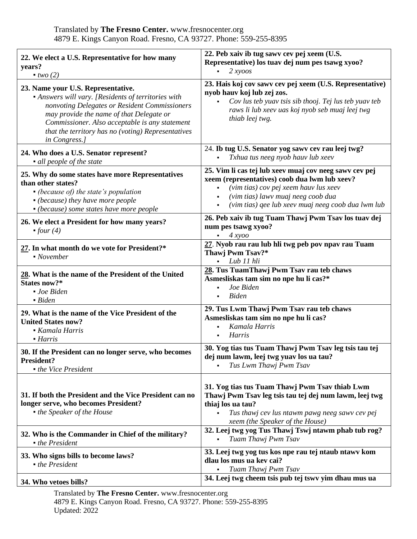| 22. We elect a U.S. Representative for how many<br>years?<br>two(2)                                                                                                                                                                                                                                             | 22. Peb xaiv ib tug sawv cev pej xeem (U.S.<br>Representative) los tuav dej num pes tsawg xyoo?<br>2 x y o o s<br>$\blacksquare$                                                                                                             |
|-----------------------------------------------------------------------------------------------------------------------------------------------------------------------------------------------------------------------------------------------------------------------------------------------------------------|----------------------------------------------------------------------------------------------------------------------------------------------------------------------------------------------------------------------------------------------|
| 23. Name your U.S. Representative.<br>• Answers will vary. [Residents of territories with<br>nonvoting Delegates or Resident Commissioners<br>may provide the name of that Delegate or<br>Commissioner. Also acceptable is any statement<br>that the territory has no (voting) Representatives<br>in Congress.] | 23. Hais koj cov sawv cev pej xeem (U.S. Representative)<br>nyob hauv koj lub zej zos.<br>Cov lus teb yuav tsis sib thooj. Tej lus teb yuav teb<br>raws li lub xeev uas koj nyob seb muaj leej twg<br>thiab leej twg.                        |
| 24. Who does a U.S. Senator represent?<br>• all people of the state                                                                                                                                                                                                                                             | 24. Ib tug U.S. Senator yog sawv cev rau leej twg?<br>Txhua tus neeg nyob hauv lub xeev                                                                                                                                                      |
| 25. Why do some states have more Representatives<br>than other states?<br>• (because of) the state's population<br>• (because) they have more people<br>• (because) some states have more people                                                                                                                | 25. Vim li cas tej lub xeev muaj cov neeg sawv cev pej<br>xeem (representatives) coob dua lwm lub xeev?<br>(vim tias) cov pej xeem hauv lus xeev<br>(vim tias) lawv muaj neeg coob dua<br>(vim tias) qee lub xeev muaj neeg coob dua lwm lub |
| 26. We elect a President for how many years?<br>$-$ four (4)                                                                                                                                                                                                                                                    | 26. Peb xaiv ib tug Tuam Thawj Pwm Tsav los tuav dej<br>num pes tsawg xyoo?<br>4 x y oo                                                                                                                                                      |
| 27. In what month do we vote for President?*<br>$\blacksquare$ November                                                                                                                                                                                                                                         | 27. Nyob rau rau lub hli twg peb pov npav rau Tuam<br>Thawj Pwm Tsav?*<br>Lub 11 hli                                                                                                                                                         |
| 28. What is the name of the President of the United<br>States now?*<br>• Joe Biden<br>$\blacksquare$ Biden                                                                                                                                                                                                      | 28. Tus TuamThawj Pwm Tsav rau teb chaws<br>Asmesliskas tam sim no npe hu li cas?*<br>Joe Biden<br><b>Biden</b>                                                                                                                              |
| 29. What is the name of the Vice President of the<br><b>United States now?</b><br>Kamala Harris<br>• Harris                                                                                                                                                                                                     | 29. Tus Lwm Thawj Pwm Tsav rau teb chaws<br>Asmesliskas tam sim no npe hu li cas?<br>Kamala Harris<br><b>Harris</b>                                                                                                                          |
| 30. If the President can no longer serve, who becomes<br><b>President?</b><br>• the Vice President                                                                                                                                                                                                              | 30. Yog tias tus Tuam Thawj Pwm Tsav leg tsis tau tej<br>dej num lawm, leej twg yuav los ua tau?<br>Tus Lwm Thawj Pwm Tsav                                                                                                                   |
| 31. If both the President and the Vice President can no<br>longer serve, who becomes President?<br>• the Speaker of the House                                                                                                                                                                                   | 31. Yog tias tus Tuam Thawj Pwm Tsav thiab Lwm<br>Thawj Pwm Tsav leg tsis tau tej dej num lawm, leej twg<br>thiaj los ua tau?<br>Tus thawj cev lus ntawm pawg neeg sawv cev pej<br>xeem (the Speaker of the House)                           |
| 32. Who is the Commander in Chief of the military?<br>• the President                                                                                                                                                                                                                                           | 32. Leej twg yog Tus Thawj Tswj ntawm phab tub rog?<br>Tuam Thawj Pwm Tsav                                                                                                                                                                   |
| 33. Who signs bills to become laws?<br>$\bullet$ the President                                                                                                                                                                                                                                                  | 33. Leej twg yog tus kos npe rau tej ntaub ntawy kom<br>dlau los mus ua key cai?<br>Tuam Thawj Pwm Tsav                                                                                                                                      |
| 34. Who vetoes bills?                                                                                                                                                                                                                                                                                           | 34. Leej twg cheem tsis pub tej tswy yim dhau mus ua                                                                                                                                                                                         |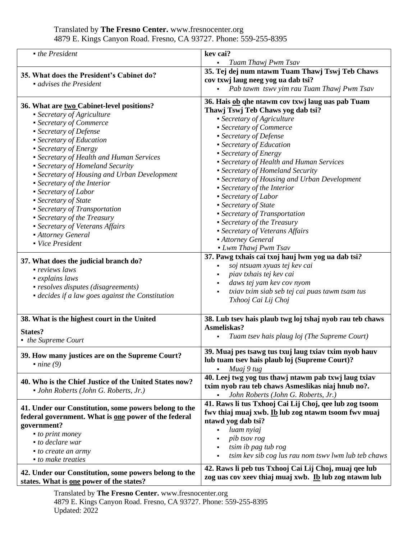| • the President                                                                                   | kev cai?                                                 |
|---------------------------------------------------------------------------------------------------|----------------------------------------------------------|
|                                                                                                   | Tuam Thawj Pwm Tsav<br>$\blacksquare$                    |
| 35. What does the President's Cabinet do?                                                         | 35. Tej dej num ntawm Tuam Thawj Tswj Teb Chaws          |
| • advises the President                                                                           | cov txwj laug neeg yog ua dab tsi?                       |
|                                                                                                   | Pab tawm tswy yim rau Tuam Thawj Pwm Tsav                |
| 36. What are two Cabinet-level positions?                                                         | 36. Hais ob qhe ntawm cov txwj laug uas pab Tuam         |
| • Secretary of Agriculture                                                                        | Thawj Tswj Teb Chaws yog dab tsi?                        |
| • Secretary of Commerce                                                                           | • Secretary of Agriculture                               |
| • Secretary of Defense                                                                            | • Secretary of Commerce                                  |
| • Secretary of Education                                                                          | • Secretary of Defense                                   |
| • Secretary of Energy                                                                             | • Secretary of Education                                 |
| • Secretary of Health and Human Services                                                          | • Secretary of Energy                                    |
| • Secretary of Homeland Security                                                                  | • Secretary of Health and Human Services                 |
| • Secretary of Housing and Urban Development                                                      | • Secretary of Homeland Security                         |
| • Secretary of the Interior                                                                       | • Secretary of Housing and Urban Development             |
| • Secretary of Labor                                                                              | • Secretary of the Interior                              |
| • Secretary of State                                                                              | • Secretary of Labor                                     |
| • Secretary of Transportation                                                                     | • Secretary of State                                     |
| • Secretary of the Treasury                                                                       | • Secretary of Transportation                            |
| • Secretary of Veterans Affairs                                                                   | • Secretary of the Treasury                              |
| • Attorney General                                                                                | • Secretary of Veterans Affairs                          |
| • Vice President                                                                                  | <b>Attorney General</b>                                  |
|                                                                                                   | • Lwm Thawj Pwm Tsav                                     |
| 37. What does the judicial branch do?                                                             | 37. Pawg txhais cai txoj hauj lwm yog ua dab tsi?        |
| • reviews laws                                                                                    | soj ntsuam xyuas tej kev cai                             |
| • explains laws                                                                                   | piav txhais tej kev cai                                  |
| • resolves disputes (disagreements)                                                               | daws tej yam kev cov nyom                                |
| • decides if a law goes against the Constitution                                                  | txiav txim siab seb tej cai puas tawm tsam tus           |
|                                                                                                   | Txhooj Cai Lij Choj                                      |
| 38. What is the highest court in the United                                                       | 38. Lub tsev hais plaub twg loj tshaj nyob rau teb chaws |
|                                                                                                   | Asmeliskas?                                              |
| <b>States?</b>                                                                                    | Tuam tsev hais plaug loj (The Supreme Court)             |
| • the Supreme Court                                                                               |                                                          |
| 39. How many justices are on the Supreme Court?                                                   | 39. Muaj pes tsawg tus txuj laug txiav txim nyob hauv    |
| $\blacksquare$ nine (9)                                                                           | lub tuam tsev hais plaub loj (Supreme Court)?            |
|                                                                                                   | Muaj 9 tug                                               |
| 40. Who is the Chief Justice of the United States now?                                            | 40. Leej twg yog tus thawj ntawm pab txwj laug txiav     |
| • John Roberts (John G. Roberts, Jr.)                                                             | txim nyob rau teb chaws Asmeslikas niaj hnub no?.        |
|                                                                                                   | John Roberts (John G. Roberts, Jr.)                      |
| 41. Under our Constitution, some powers belong to the                                             | 41. Raws li tus Txhooj Cai Lij Choj, qee lub zog tsoom   |
| federal government. What is one power of the federal                                              | fwy thiaj muaj xwb. Ib lub zog ntawm tsoom fwy muaj      |
| government?                                                                                       | ntawd yog dab tsi?                                       |
| • to print money                                                                                  | luam nyiaj                                               |
| • to declare war                                                                                  | pib tsov rog                                             |
| • to create an army                                                                               | tsim ib pag tub rog                                      |
| • to make treaties                                                                                | tsim kev sib cog lus rau nom tswy lwm lub teb chaws      |
|                                                                                                   | 42. Raws li peb tus Txhooj Cai Lij Choj, muaj qee lub    |
| 42. Under our Constitution, some powers belong to the<br>states. What is one power of the states? | zog uas cov xeev thiaj muaj xwb. Ib lub zog ntawm lub    |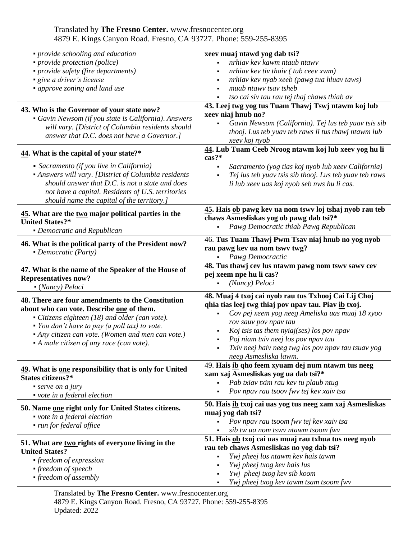| nrhiav kev kawm ntaub ntawv<br>• provide protection (police)<br>• provide safety (fire departments)<br>nrhiav kev tiv thaiv (tub ceev xwm)<br>• give a driver's license<br>nrhiav kev nyab xeeb (pawg tua hluav taws)<br>muab ntawy tsay tsheb<br>• approve zoning and land use<br>tso cai siv tau rau tej thaj chaws thiab av<br>43. Leej twg yog tus Tuam Thawj Tswj ntawm koj lub<br>43. Who is the Governor of your state now?<br>xeev niaj hnub no?<br>• Gavin Newsom (if you state is California). Answers<br>Gavin Newsom (California). Tej lus teb yuav tsis sib<br>will vary. [District of Columbia residents should<br>thooj. Lus teb yuav teb raws li tus thawj ntawm lub<br>answer that D.C. does not have a Governor.]<br>xeev koj nyob<br>44. Lub Tuam Ceeb Nroog ntawm koj lub xeev yog hu li<br>44. What is the capital of your state?*<br>cas?*<br>• Sacramento (if you live in California)<br>Sacramento (yog tias koj nyob lub xeev California)<br>• Answers will vary. [District of Columbia residents<br>Tej lus teb yuav tsis sib thooj. Lus teb yuav teb raws<br>should answer that D.C. is not a state and does<br>li lub xeev uas koj nyob seb nws hu li cas.<br>not have a capital. Residents of U.S. territories<br>should name the capital of the territory.]<br>45. Hais ob pawg kev ua nom tswy loj tshaj nyob rau teb<br>45. What are the two major political parties in the<br>chaws Asmesliskas yog ob pawg dab tsi?*<br><b>United States?*</b> |
|----------------------------------------------------------------------------------------------------------------------------------------------------------------------------------------------------------------------------------------------------------------------------------------------------------------------------------------------------------------------------------------------------------------------------------------------------------------------------------------------------------------------------------------------------------------------------------------------------------------------------------------------------------------------------------------------------------------------------------------------------------------------------------------------------------------------------------------------------------------------------------------------------------------------------------------------------------------------------------------------------------------------------------------------------------------------------------------------------------------------------------------------------------------------------------------------------------------------------------------------------------------------------------------------------------------------------------------------------------------------------------------------------------------------------------------------------------------------------------|
|                                                                                                                                                                                                                                                                                                                                                                                                                                                                                                                                                                                                                                                                                                                                                                                                                                                                                                                                                                                                                                                                                                                                                                                                                                                                                                                                                                                                                                                                                  |
|                                                                                                                                                                                                                                                                                                                                                                                                                                                                                                                                                                                                                                                                                                                                                                                                                                                                                                                                                                                                                                                                                                                                                                                                                                                                                                                                                                                                                                                                                  |
|                                                                                                                                                                                                                                                                                                                                                                                                                                                                                                                                                                                                                                                                                                                                                                                                                                                                                                                                                                                                                                                                                                                                                                                                                                                                                                                                                                                                                                                                                  |
|                                                                                                                                                                                                                                                                                                                                                                                                                                                                                                                                                                                                                                                                                                                                                                                                                                                                                                                                                                                                                                                                                                                                                                                                                                                                                                                                                                                                                                                                                  |
|                                                                                                                                                                                                                                                                                                                                                                                                                                                                                                                                                                                                                                                                                                                                                                                                                                                                                                                                                                                                                                                                                                                                                                                                                                                                                                                                                                                                                                                                                  |
|                                                                                                                                                                                                                                                                                                                                                                                                                                                                                                                                                                                                                                                                                                                                                                                                                                                                                                                                                                                                                                                                                                                                                                                                                                                                                                                                                                                                                                                                                  |
|                                                                                                                                                                                                                                                                                                                                                                                                                                                                                                                                                                                                                                                                                                                                                                                                                                                                                                                                                                                                                                                                                                                                                                                                                                                                                                                                                                                                                                                                                  |
|                                                                                                                                                                                                                                                                                                                                                                                                                                                                                                                                                                                                                                                                                                                                                                                                                                                                                                                                                                                                                                                                                                                                                                                                                                                                                                                                                                                                                                                                                  |
|                                                                                                                                                                                                                                                                                                                                                                                                                                                                                                                                                                                                                                                                                                                                                                                                                                                                                                                                                                                                                                                                                                                                                                                                                                                                                                                                                                                                                                                                                  |
|                                                                                                                                                                                                                                                                                                                                                                                                                                                                                                                                                                                                                                                                                                                                                                                                                                                                                                                                                                                                                                                                                                                                                                                                                                                                                                                                                                                                                                                                                  |
| Pawg Democratic thiab Pawg Republican<br>• Democratic and Republican                                                                                                                                                                                                                                                                                                                                                                                                                                                                                                                                                                                                                                                                                                                                                                                                                                                                                                                                                                                                                                                                                                                                                                                                                                                                                                                                                                                                             |
| 46. Tus Tuam Thawj Pwm Tsav niaj hnub no yog nyob                                                                                                                                                                                                                                                                                                                                                                                                                                                                                                                                                                                                                                                                                                                                                                                                                                                                                                                                                                                                                                                                                                                                                                                                                                                                                                                                                                                                                                |
| 46. What is the political party of the President now?<br>rau pawg kev ua nom tswy twg?                                                                                                                                                                                                                                                                                                                                                                                                                                                                                                                                                                                                                                                                                                                                                                                                                                                                                                                                                                                                                                                                                                                                                                                                                                                                                                                                                                                           |
| • Democratic (Party)<br>Pawg Democractic                                                                                                                                                                                                                                                                                                                                                                                                                                                                                                                                                                                                                                                                                                                                                                                                                                                                                                                                                                                                                                                                                                                                                                                                                                                                                                                                                                                                                                         |
| 48. Tus thawj cev lus ntawm pawg nom tswy sawy cev<br>47. What is the name of the Speaker of the House of<br>pej xeem npe hu li cas?<br><b>Representatives now?</b><br>(Nancy) Peloci<br>• (Nancy) Peloci                                                                                                                                                                                                                                                                                                                                                                                                                                                                                                                                                                                                                                                                                                                                                                                                                                                                                                                                                                                                                                                                                                                                                                                                                                                                        |
| 48. Muaj 4 txoj cai nyob rau tus Txhooj Cai Lij Choj<br>48. There are four amendments to the Constitution                                                                                                                                                                                                                                                                                                                                                                                                                                                                                                                                                                                                                                                                                                                                                                                                                                                                                                                                                                                                                                                                                                                                                                                                                                                                                                                                                                        |
| qhia tias leej twg thiaj pov npav tau. Piav ib txoj.<br>about who can vote. Describe one of them.                                                                                                                                                                                                                                                                                                                                                                                                                                                                                                                                                                                                                                                                                                                                                                                                                                                                                                                                                                                                                                                                                                                                                                                                                                                                                                                                                                                |
| Cov pej xeem yog neeg Ameliska uas muaj 18 xyoo<br>• Citizens eighteen (18) and older (can vote).                                                                                                                                                                                                                                                                                                                                                                                                                                                                                                                                                                                                                                                                                                                                                                                                                                                                                                                                                                                                                                                                                                                                                                                                                                                                                                                                                                                |
| rov sauv pov npav tau<br>• You don't have to pay (a poll tax) to vote.                                                                                                                                                                                                                                                                                                                                                                                                                                                                                                                                                                                                                                                                                                                                                                                                                                                                                                                                                                                                                                                                                                                                                                                                                                                                                                                                                                                                           |
| Koj tsis tas them nyiaj(ses) los pov npav<br>• Any citizen can vote. (Women and men can vote.)                                                                                                                                                                                                                                                                                                                                                                                                                                                                                                                                                                                                                                                                                                                                                                                                                                                                                                                                                                                                                                                                                                                                                                                                                                                                                                                                                                                   |
| Poj niam txiv neej los pov npav tau<br>• A male citizen of any race (can vote).                                                                                                                                                                                                                                                                                                                                                                                                                                                                                                                                                                                                                                                                                                                                                                                                                                                                                                                                                                                                                                                                                                                                                                                                                                                                                                                                                                                                  |
| Txiv neej haiv neeg twg los pov npav tau tsuav yog                                                                                                                                                                                                                                                                                                                                                                                                                                                                                                                                                                                                                                                                                                                                                                                                                                                                                                                                                                                                                                                                                                                                                                                                                                                                                                                                                                                                                               |
| neeg Asmesliska lawm.                                                                                                                                                                                                                                                                                                                                                                                                                                                                                                                                                                                                                                                                                                                                                                                                                                                                                                                                                                                                                                                                                                                                                                                                                                                                                                                                                                                                                                                            |
| 49. Hais ib qho feem xyuam dej num ntawm tus neeg<br>49. What is <u>one</u> responsibility that is only for United                                                                                                                                                                                                                                                                                                                                                                                                                                                                                                                                                                                                                                                                                                                                                                                                                                                                                                                                                                                                                                                                                                                                                                                                                                                                                                                                                               |
| xam xaj Asmesliskas yog ua dab tsi?*<br>States citizens?*                                                                                                                                                                                                                                                                                                                                                                                                                                                                                                                                                                                                                                                                                                                                                                                                                                                                                                                                                                                                                                                                                                                                                                                                                                                                                                                                                                                                                        |
| Pab txiav txim rau kev tu plaub ntug<br>$\blacksquare$ serve on a jury                                                                                                                                                                                                                                                                                                                                                                                                                                                                                                                                                                                                                                                                                                                                                                                                                                                                                                                                                                                                                                                                                                                                                                                                                                                                                                                                                                                                           |
| Pov npav rau tsoov fwv tej kev xaiv tsa<br>$\bullet$ vote in a federal election                                                                                                                                                                                                                                                                                                                                                                                                                                                                                                                                                                                                                                                                                                                                                                                                                                                                                                                                                                                                                                                                                                                                                                                                                                                                                                                                                                                                  |
| 50. Hais ib txoj cai uas yog tus neeg xam xaj Asmesliskas<br>50. Name one right only for United States citizens.                                                                                                                                                                                                                                                                                                                                                                                                                                                                                                                                                                                                                                                                                                                                                                                                                                                                                                                                                                                                                                                                                                                                                                                                                                                                                                                                                                 |
| muaj yog dab tsi?<br>vote in a federal election                                                                                                                                                                                                                                                                                                                                                                                                                                                                                                                                                                                                                                                                                                                                                                                                                                                                                                                                                                                                                                                                                                                                                                                                                                                                                                                                                                                                                                  |
| Pov npav rau tsoom fwv tej kev xaiv tsa<br>• run for federal office                                                                                                                                                                                                                                                                                                                                                                                                                                                                                                                                                                                                                                                                                                                                                                                                                                                                                                                                                                                                                                                                                                                                                                                                                                                                                                                                                                                                              |
| sib tw ua nom tswy ntawm tsoom fwy                                                                                                                                                                                                                                                                                                                                                                                                                                                                                                                                                                                                                                                                                                                                                                                                                                                                                                                                                                                                                                                                                                                                                                                                                                                                                                                                                                                                                                               |
| 51. Hais ob txoj cai uas muaj rau txhua tus neeg nyob<br>51. What are two rights of everyone living in the                                                                                                                                                                                                                                                                                                                                                                                                                                                                                                                                                                                                                                                                                                                                                                                                                                                                                                                                                                                                                                                                                                                                                                                                                                                                                                                                                                       |
| rau teb chaws Asmesliskas no yog dab tsi?<br><b>United States?</b>                                                                                                                                                                                                                                                                                                                                                                                                                                                                                                                                                                                                                                                                                                                                                                                                                                                                                                                                                                                                                                                                                                                                                                                                                                                                                                                                                                                                               |
| Ywj pheej los ntawm kev hais tawm<br>• freedom of expression                                                                                                                                                                                                                                                                                                                                                                                                                                                                                                                                                                                                                                                                                                                                                                                                                                                                                                                                                                                                                                                                                                                                                                                                                                                                                                                                                                                                                     |
| Ywj pheej txog kev hais lus<br>$\blacksquare$ freedom of speech                                                                                                                                                                                                                                                                                                                                                                                                                                                                                                                                                                                                                                                                                                                                                                                                                                                                                                                                                                                                                                                                                                                                                                                                                                                                                                                                                                                                                  |
| Ywj pheej txog kev sib koom<br>• freedom of assembly<br>Ywj pheej txog kev tawm tsam tsoom fwv                                                                                                                                                                                                                                                                                                                                                                                                                                                                                                                                                                                                                                                                                                                                                                                                                                                                                                                                                                                                                                                                                                                                                                                                                                                                                                                                                                                   |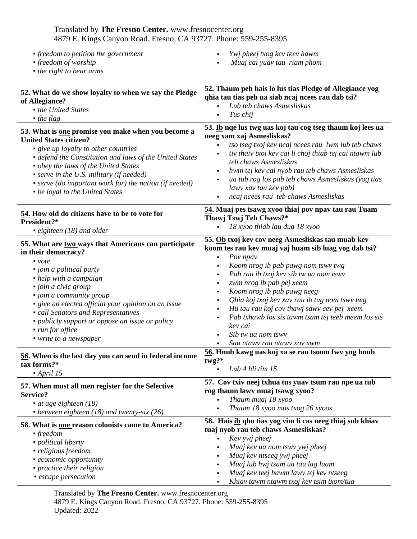| • freedom to petition the government<br>• freedom of worship<br>• the right to bear arms                                                                                                                                                                                                                                                                                                               | Ywj pheej txog kev teev hawm<br>Muaj cai yuav tau riam phom                                                                                                                                                                                                                                                                                                                                                                                                                                            |
|--------------------------------------------------------------------------------------------------------------------------------------------------------------------------------------------------------------------------------------------------------------------------------------------------------------------------------------------------------------------------------------------------------|--------------------------------------------------------------------------------------------------------------------------------------------------------------------------------------------------------------------------------------------------------------------------------------------------------------------------------------------------------------------------------------------------------------------------------------------------------------------------------------------------------|
| 52. What do we show loyalty to when we say the Pledge                                                                                                                                                                                                                                                                                                                                                  | 52. Thaum peb hais lo lus tias Pledge of Allegiance yog                                                                                                                                                                                                                                                                                                                                                                                                                                                |
| of Allegiance?                                                                                                                                                                                                                                                                                                                                                                                         | qhia tau tias peb ua siab ncaj ncees rau dab tsi?                                                                                                                                                                                                                                                                                                                                                                                                                                                      |
| • the United States                                                                                                                                                                                                                                                                                                                                                                                    | Lub teb chaws Asmesliskas                                                                                                                                                                                                                                                                                                                                                                                                                                                                              |
| $\blacksquare$ the flag                                                                                                                                                                                                                                                                                                                                                                                | Tus chij                                                                                                                                                                                                                                                                                                                                                                                                                                                                                               |
| 53. What is one promise you make when you become a<br><b>United States citizen?</b><br>• give up loyalty to other countries<br>• defend the Constitution and laws of the United States<br>• obey the laws of the United States<br>• serve in the U.S. military (if needed)<br>• serve (do important work for) the nation (if needed)<br>• be loyal to the United States                                | 53. Ib nqe lus twg uas koj tau cog tseg thaum koj lees ua<br>neeg xam xaj Asmesliskas?<br>tso tseg txoj kev ncaj ncees rau lwm lub teb chaws<br>tiv thaiv txoj kev cai li choj thiab tej cai ntawm lub<br>teb chaws Asmesliskas<br>hwm tej kev cai nyob rau teb chaws Asmesliskas<br>ua tub rog los pab teb chaws Asmesliskas (yog tias<br>lawv xav tau kev pab)<br>ncaj ncees rau teb chaws Asmesliskas                                                                                               |
| 54. How old do citizens have to be to vote for                                                                                                                                                                                                                                                                                                                                                         | 54. Muaj pes tsawg xyoo thiaj pov npav tau rau Tuam                                                                                                                                                                                                                                                                                                                                                                                                                                                    |
| President?*                                                                                                                                                                                                                                                                                                                                                                                            | Thawj Tswj Teb Chaws?*                                                                                                                                                                                                                                                                                                                                                                                                                                                                                 |
| • eighteen $(18)$ and older                                                                                                                                                                                                                                                                                                                                                                            | 18 xyoo thiab lau dua 18 xyoo                                                                                                                                                                                                                                                                                                                                                                                                                                                                          |
| 55. What are two ways that Americans can participate<br>in their democracy?<br>$\bullet$ vote<br>• join a political party<br>• help with a campaign<br>· join a civic group<br>• join a community group<br>• give an elected official your opinion on an issue<br>• call Senators and Representatives<br>• publicly support or oppose an issue or policy<br>• run for office<br>• write to a newspaper | 55. Ob txoj kev cov neeg Asmesliskas tau muab kev<br>koom tes rau kev muaj vaj huam sib luag yog dab tsi?<br>Pov npav<br>$\blacksquare$<br>Koom nrog ib pab pawg nom tswy twg<br>Pab rau ib txoj kev sib tw ua nom tswv<br>zwm nrog ib pab pej xeem<br>Koom nrog ib pab pawg neeg<br>Qhia koj txoj kev xav rau ib tug nom tswv twg<br>Hu tau rau koj cov thawj sawv cev pej xeem<br>Pab txhawb los sis tawm tsam tej teeb meem los sis<br>kev cai<br>Sib tw ua nom tswy<br>Sau ntawy rau ntawy xov xwm |
| 56. When is the last day you can send in federal income                                                                                                                                                                                                                                                                                                                                                | 56. Hnub kawg uas koj xa se rau tsoom fwv yog hnub                                                                                                                                                                                                                                                                                                                                                                                                                                                     |
| tax forms?*                                                                                                                                                                                                                                                                                                                                                                                            | twg?*                                                                                                                                                                                                                                                                                                                                                                                                                                                                                                  |
| $\blacksquare$ April 15                                                                                                                                                                                                                                                                                                                                                                                | Lub 4 hli tim 15                                                                                                                                                                                                                                                                                                                                                                                                                                                                                       |
| 57. When must all men register for the Selective                                                                                                                                                                                                                                                                                                                                                       | 57. Cov txiv neej txhua tus yuav tsum rau npe ua tub                                                                                                                                                                                                                                                                                                                                                                                                                                                   |
| Service?                                                                                                                                                                                                                                                                                                                                                                                               | rog thaum lawv muaj tsawg xyoo?                                                                                                                                                                                                                                                                                                                                                                                                                                                                        |
| $\bullet$ at age eighteen (18)                                                                                                                                                                                                                                                                                                                                                                         | Thaum muaj 18 xyoo                                                                                                                                                                                                                                                                                                                                                                                                                                                                                     |
| • between eighteen $(18)$ and twenty-six $(26)$                                                                                                                                                                                                                                                                                                                                                        | Thaum 18 xyoo mus txog 26 xyoos                                                                                                                                                                                                                                                                                                                                                                                                                                                                        |
| 58. What is one reason colonists came to America?<br>$\blacksquare$ freedom<br>· political liberty<br>• religious freedom<br><i>• economic opportunity</i><br>• practice their religion<br>• escape persecution                                                                                                                                                                                        | 58. Hais ib qho tias yog vim li cas neeg thiaj sub khiav<br>tuaj nyob rau teb chaws Asmesliskas?<br>Kev ywj pheej<br>Muaj kev ua nom tswv ywj pheej<br>Muaj kev ntseeg ywj pheej<br>Muaj lub hwj tsam ua tau lag luam<br>Muaj kev teej hawm lawv tej kev ntseeg<br>Khiav tawm ntawm txoj kev tsim txom/tua                                                                                                                                                                                             |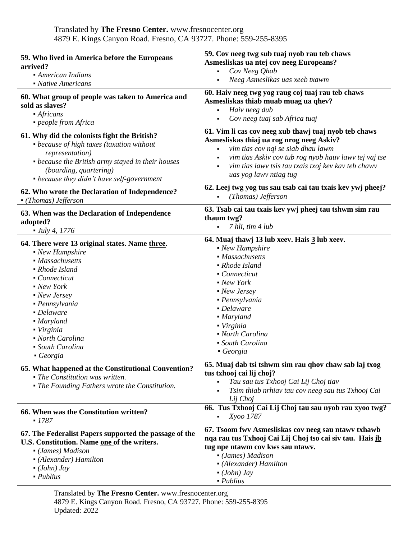| 59. Who lived in America before the Europeans<br>arrived?<br>• American Indians<br>• Native Americans                                                                                                                                                                               | 59. Cov neeg twg sub tuaj nyob rau teb chaws<br>Asmesliskas ua ntej cov neeg Europeans?<br>Cov Neeg Qhab<br>$\blacksquare$<br>Neeg Asmeslikas uas xeeb txawm                                                                                                                                         |
|-------------------------------------------------------------------------------------------------------------------------------------------------------------------------------------------------------------------------------------------------------------------------------------|------------------------------------------------------------------------------------------------------------------------------------------------------------------------------------------------------------------------------------------------------------------------------------------------------|
| 60. What group of people was taken to America and<br>sold as slaves?<br>• Africans<br>people from Africa                                                                                                                                                                            | 60. Haiv neeg twg yog raug coj tuaj rau teb chaws<br>Asmesliskas thiab muab muag ua qhev?<br>Haiv neeg dub<br>Cov neeg tuaj sab Africa tuaj                                                                                                                                                          |
| 61. Why did the colonists fight the British?<br>• because of high taxes (taxation without<br>representation)<br>• because the British army stayed in their houses<br><i>(boarding, quartering)</i><br>• because they didn't have self-government                                    | 61. Vim li cas cov neeg xub thawj tuaj nyob teb chaws<br>Asmesliskas thiaj ua rog nrog neeg Askiv?<br>vim tias cov nqi se siab dhau lawm<br>$\blacksquare$<br>vim tias Askiv cov tub rog nyob hauv lawv tej vaj tse<br>vim tias lawv tsis tau txais txoj kev kav teb chawv<br>uas yog lawv ntiag tug |
| 62. Who wrote the Declaration of Independence?<br>• (Thomas) Jefferson                                                                                                                                                                                                              | 62. Leej twg yog tus sau tsab cai tau txais kev ywj pheej?<br>(Thomas) Jefferson<br>$\blacksquare$                                                                                                                                                                                                   |
| 63. When was the Declaration of Independence<br>adopted?<br>$-$ July 4, 1776                                                                                                                                                                                                        | 63. Tsab cai tau txais kev ywj pheej tau tshwm sim rau<br>thaum twg?<br>7 hli, tim 4 lub<br>$\blacksquare$                                                                                                                                                                                           |
| 64. There were 13 original states. Name three.<br>• New Hampshire<br>• Massachusetts<br>• Rhode Island<br>• Connecticut<br>• New York<br>• New Jersey<br>• Pennsylvania<br>• Delaware<br>• Maryland<br>• Virginia<br>• North Carolina<br>• South Carolina<br>$\blacksquare$ Georgia | 64. Muaj thawj 13 lub xeev. Hais 3 lub xeev.<br>• New Hampshire<br>• Massachusetts<br>• Rhode Island<br>• Connecticut<br>• New York<br>• New Jersey<br>• Pennsylvania<br>• Delaware<br>• Maryland<br>• Virginia<br>• North Carolina<br>• South Carolina<br>$\blacksquare$ Georgia                    |
| 65. What happened at the Constitutional Convention?<br>• The Constitution was written.<br>• The Founding Fathers wrote the Constitution.                                                                                                                                            | 65. Muaj dab tsi tshwm sim rau qhov chaw sab laj txog<br>tus txhooj cai lij choj?<br>Tau sau tus Txhooj Cai Lij Choj tiav<br>Tsim thiab nrhiav tau cov neeg sau tus Txhooj Cai<br>Lij Choj                                                                                                           |
| 66. When was the Constitution written?<br>$-1787$                                                                                                                                                                                                                                   | 66. Tus Txhooj Cai Lij Choj tau sau nyob rau xyoo twg?<br>Xyoo 1787                                                                                                                                                                                                                                  |
| 67. The Federalist Papers supported the passage of the<br>U.S. Constitution. Name one of the writers.<br>• (James) Madison<br>• (Alexander) Hamilton<br>$\bullet$ (John) Jay<br>$\n- Publius\n$                                                                                     | 67. Tsoom fwy Asmesliskas cov neeg sau ntawy txhawb<br>nqa rau tus Txhooj Cai Lij Choj tso cai siv tau. Hais ib<br>tug npe ntawm cov kws sau ntawv.<br>• (James) Madison<br>• (Alexander) Hamilton<br>$\bullet$ (John) Jay<br>$\n  Publius\n$                                                        |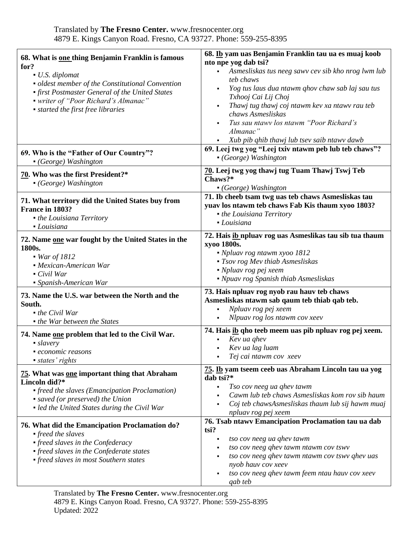| 68. What is one thing Benjamin Franklin is famous<br>for?<br>• U.S. diplomat<br>• oldest member of the Constitutional Convention<br>• first Postmaster General of the United States<br>• writer of "Poor Richard's Almanac"<br>• started the first free libraries | 68. Ib yam uas Benjamin Franklin tau ua es muaj koob<br>nto npe yog dab tsi?<br>Asmesliskas tus neeg sawv cev sib kho nrog lwm lub<br>$\blacksquare$<br>teb chaws<br>Yog tus laus dua ntawm qhov chaw sab laj sau tus<br>Txhooj Cai Lij Choj<br>Thawj tug thawj coj ntawm kev xa ntawv rau teb<br>chaws Asmesliskas<br>Tus sau ntawy los ntawm "Poor Richard's<br>Almanac"<br>Xub pib qhib thawj lub tsev saib ntawv dawb |
|-------------------------------------------------------------------------------------------------------------------------------------------------------------------------------------------------------------------------------------------------------------------|---------------------------------------------------------------------------------------------------------------------------------------------------------------------------------------------------------------------------------------------------------------------------------------------------------------------------------------------------------------------------------------------------------------------------|
| 69. Who is the "Father of Our Country"?<br>• (George) Washington                                                                                                                                                                                                  | 69. Leej twg yog "Leej txiv ntawm peb lub teb chaws"?<br>• (George) Washington                                                                                                                                                                                                                                                                                                                                            |
| 70. Who was the first President?*<br>• (George) Washington                                                                                                                                                                                                        | 70. Leej twg yog thawj tug Tuam Thawj Tswj Teb<br>Chaws?*<br>• (George) Washington                                                                                                                                                                                                                                                                                                                                        |
| 71. What territory did the United States buy from<br>France in 1803?<br>• the Louisiana Territory<br>• Louisiana                                                                                                                                                  | 71. Ib cheeb tsam twg uas teb chaws Asmesliskas tau<br>yuav los ntawm teb chaws Fab Kis thaum xyoo 1803?<br>• the Louisiana Territory<br>• Louisiana                                                                                                                                                                                                                                                                      |
| 72. Name one war fought by the United States in the<br>1800s.<br>• War of 1812<br>• Mexican-American War<br>• Civil War<br>• Spanish-American War                                                                                                                 | 72. Hais ib npluav rog uas Asmeslikas tau sib tua thaum<br>xyoo 1800s.<br>• Npluav rog ntawm xyoo 1812<br>• Tsov rog Mev thiab Asmesliskas<br>$\blacksquare$ Npluav rog pej xeem<br>• Npuav rog Spanish thiab Asmesliskas                                                                                                                                                                                                 |
| 73. Name the U.S. war between the North and the<br>South.<br>$\bullet$ the Civil War<br>• the War between the States                                                                                                                                              | 73. Hais npluav rog nyob rau hauv teb chaws<br>Asmesliskas ntawm sab qaum teb thiab qab teb.<br>Npluav rog pej xeem<br>$\blacksquare$<br>Nlpuav rog los ntawm cov xeev                                                                                                                                                                                                                                                    |
| 74. Name one problem that led to the Civil War.<br>$\blacksquare$ slavery<br>• economic reasons<br>• states' rights                                                                                                                                               | 74. Hais ib qho teeb meem uas pib npluav rog pej xeem.<br>Kev ua ghev<br>Kev ua lag luam<br>Tej cai ntawm cov xeev                                                                                                                                                                                                                                                                                                        |
| 75. What was one important thing that Abraham<br>Lincoln did?*<br>• freed the slaves (Emancipation Proclamation)<br>• saved (or preserved) the Union<br>• led the United States during the Civil War                                                              | 75. Ib yam tseem ceeb uas Abraham Lincoln tau ua yog<br>dab tsi?*<br>Tso cov neeg ua qhev tawm<br>$\blacksquare$<br>Cawm lub teb chaws Asmesliskas kom rov sib haum<br>Coj teb chawsAsmesliskas thaum lub sij hawm muaj<br>npluav rog pej xeem                                                                                                                                                                            |
| 76. What did the Emancipation Proclamation do?<br>$\blacksquare$ freed the slaves<br>• freed slaves in the Confederacy<br>• freed slaves in the Confederate states<br>• freed slaves in most Southern states                                                      | 76. Tsab ntawy Emancipation Proclamation tau ua dab<br>tsi?<br>tso cov neeg ua qhev tawm<br>٠<br>tso cov neeg qhev tawm ntawm cov tswv<br>tso cov neeg qhev tawm ntawm cov tswv qhev uas<br>nyob hauv cov xeev<br>tso cov neeg qhev tawm feem ntau hauv cov xeev<br>qab teb                                                                                                                                               |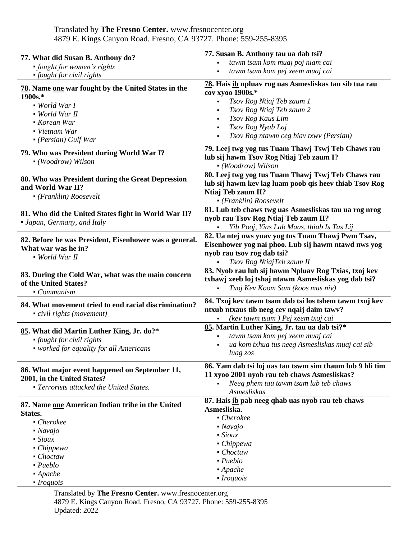| 77. What did Susan B. Anthony do?<br>• fought for women's rights                                                                                                                                                                                  | 77. Susan B. Anthony tau ua dab tsi?<br>tawm tsam kom muaj poj niam cai<br>$\blacksquare$<br>tawm tsam kom pej xeem muaj cai                                                                                                                          |
|---------------------------------------------------------------------------------------------------------------------------------------------------------------------------------------------------------------------------------------------------|-------------------------------------------------------------------------------------------------------------------------------------------------------------------------------------------------------------------------------------------------------|
| • fought for civil rights<br>78. Name one war fought by the United States in the<br>1900s.*<br>• World War I<br>• World War II<br>Korean War<br>• Vietnam War<br>$\bullet$ (Persian) Gulf War                                                     | 78. Hais ib npluav rog uas Asmesliskas tau sib tua rau<br>cov xyoo 1900s.*<br>Tsov Rog Ntiaj Teb zaum 1<br>Tsov Rog Ntiaj Teb zaum 2<br>Tsov Rog Kaus Lim<br>Tsov Rog Nyab Laj<br>Tsov Rog ntawm ceg hiav txwv (Persian)                              |
| 79. Who was President during World War I?<br>• (Woodrow) Wilson                                                                                                                                                                                   | 79. Leej twg yog tus Tuam Thawj Tswj Teb Chaws rau<br>lub sij hawm Tsov Rog Ntiaj Teb zaum I?<br>• (Woodrow) Wilson                                                                                                                                   |
| 80. Who was President during the Great Depression<br>and World War II?<br>$\bullet$ (Franklin) Roosevelt                                                                                                                                          | 80. Leej twg yog tus Tuam Thawj Tswj Teb Chaws rau<br>lub sij hawm kev lag luam poob qis heev thiab Tsov Rog<br>Ntiaj Teb zaum II?<br>$\bullet$ (Franklin) Roosevelt                                                                                  |
| 81. Who did the United States fight in World War II?<br>• Japan, Germany, and Italy                                                                                                                                                               | 81. Lub teb chaws twg uas Asmesliskas tau ua rog nrog<br>nyob rau Tsov Rog Ntiaj Teb zaum II?<br>Yib Pooj, Yias Lab Maas, thiab Is Tas Lij                                                                                                            |
| 82. Before he was President, Eisenhower was a general.<br>What war was he in?<br>• World War II                                                                                                                                                   | 82. Ua ntej nws yuav yog tus Tuam Thawj Pwm Tsav,<br>Eisenhower yog nai phoo. Lub sij hawm ntawd nws yog<br>nyob rau tsov rog dab tsi?<br>Tsov Rog NtiajTeb zaum II                                                                                   |
| 83. During the Cold War, what was the main concern<br>of the United States?<br>• Communism                                                                                                                                                        | 83. Nyob rau lub sij hawm Npluav Rog Txias, txoj kev<br>txhawj xeeb loj tshaj ntawm Asmesliskas yog dab tsi?<br>Txoj Kev Koom Sam (koos mus niv)                                                                                                      |
| 84. What movement tried to end racial discrimination?<br>civil rights (movement)                                                                                                                                                                  | 84. Txoj kev tawm tsam dab tsi los tshem tawm txoj kev<br>ntxub ntxaus tib neeg cev nqaij daim tawv?<br>(kev tawm tsam) Pej xeem txoj cai                                                                                                             |
| 85. What did Martin Luther King, Jr. do?*<br>• fought for civil rights<br>• worked for equality for all Americans                                                                                                                                 | 85. Martin Luther King, Jr. tau ua dab tsi?*<br>tawm tsam kom pej xeem muaj cai<br>ua kom txhua tus neeg Asmesliskas muaj cai sib<br>٠<br>luag zos                                                                                                    |
| 86. What major event happened on September 11,<br>2001, in the United States?<br>• Terrorists attacked the United States.                                                                                                                         | 86. Yam dab tsi loj uas tau tswm sim thaum lub 9 hli tim<br>11 xyoo 2001 nyob rau teb chaws Asmesliskas?<br>Neeg phem tau tawm tsam lub teb chaws<br>Asmesliskas                                                                                      |
| 87. Name one American Indian tribe in the United<br>States.<br>$\blacksquare$ Cherokee<br>$\blacksquare$ Navajo<br>$\blacksquare$ Sioux<br>$\blacksquare$ Chippewa<br>$\bullet$ Choctaw<br>$\nu$ - Pueblo<br>$\blacksquare$ Apache<br>$-Iroquois$ | 87. Hais ib pab neeg qhab uas nyob rau teb chaws<br>Asmesliska.<br>$\blacksquare$ Cherokee<br>$\blacksquare$ Navajo<br>$\blacksquare$ Sioux<br>$\blacksquare$ Chippewa<br>$\bullet$ Choctaw<br>$\nu$ - Pueblo<br>$\blacksquare$ Apache<br>$-Iroquois$ |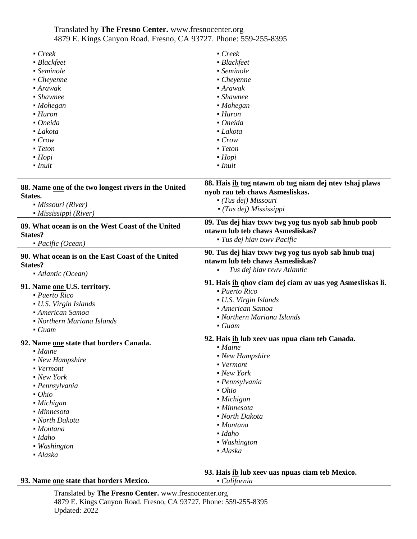| Creek                                                     | $\blacksquare$ Creek                                                                     |
|-----------------------------------------------------------|------------------------------------------------------------------------------------------|
| • Blackfeet                                               | • Blackfeet                                                                              |
| • Seminole                                                | • Seminole                                                                               |
| $\blacksquare$ Cheyenne                                   | $\blacksquare$ Cheyenne                                                                  |
| $\blacksquare$ Arawak                                     | $\blacksquare$ Arawak                                                                    |
| • Shawnee                                                 | • Shawnee                                                                                |
| $-Mohegan$                                                | $-Mohegan$                                                                               |
| $\blacksquare$ Huron                                      | $\blacksquare$ Huron                                                                     |
| • Oneida                                                  | $\bullet$ Oneida                                                                         |
| • Lakota                                                  | $-Lakota$                                                                                |
| $\blacksquare$ Crow                                       | $\blacksquare$ Crow                                                                      |
| $\blacksquare$ Teton                                      | $\blacksquare$ Teton                                                                     |
| $\blacksquare$ Hopi                                       | $-Hopi$                                                                                  |
| $-Inuit$                                                  | $-Inuit$                                                                                 |
|                                                           |                                                                                          |
|                                                           | 88. Hais ib tug ntawm ob tug niam dej ntev tshaj plaws                                   |
| 88. Name one of the two longest rivers in the United      | nyob rau teb chaws Asmesliskas.                                                          |
| States.                                                   | $\blacksquare$ (Tus dej) Missouri                                                        |
| • Missouri (River)                                        | $\blacksquare$ (Tus dej) Mississippi                                                     |
| $\blacksquare$ Mississippi (River)                        |                                                                                          |
| 89. What ocean is on the West Coast of the United         | 89. Tus dej hiav txwy twg yog tus nyob sab hnub poob<br>ntawm lub teb chaws Asmesliskas? |
| <b>States?</b>                                            |                                                                                          |
| $\blacksquare$ Pacific (Ocean)                            | $\blacksquare$ Tus dej hiav txwv Pacific                                                 |
| 90. What ocean is on the East Coast of the United         | 90. Tus dej hiav txwv twg yog tus nyob sab hnub tuaj                                     |
| <b>States?</b>                                            | ntawm lub teb chaws Asmesliskas?                                                         |
| $\blacksquare$ Atlantic (Ocean)                           | Tus dej hiav txwy Atlantic                                                               |
|                                                           | 91. Hais ib qhov ciam dej ciam av uas yog Asmesliskas li.                                |
| 91. Name one U.S. territory.                              | $\nu$ Puerto Rico                                                                        |
|                                                           |                                                                                          |
| · Puerto Rico                                             |                                                                                          |
| • U.S. Virgin Islands                                     | • U.S. Virgin Islands                                                                    |
| • American Samoa                                          | • American Samoa                                                                         |
| • Northern Mariana Islands                                | • Northern Mariana Islands                                                               |
| $\blacksquare$ Guam                                       | $\blacksquare$ Guam                                                                      |
|                                                           | 92. Hais ib lub xeev uas npua ciam teb Canada.                                           |
| 92. Name one state that borders Canada.<br>• <i>Maine</i> | • <i>Maine</i>                                                                           |
|                                                           | • New Hampshire                                                                          |
| • New Hampshire<br>• Vermont                              | • Vermont                                                                                |
| • New York                                                | • New York                                                                               |
|                                                           | • Pennsylvania                                                                           |
| • Pennsylvania<br>$\bullet$ Ohio                          | $\bullet$ Ohio                                                                           |
|                                                           | • Michigan                                                                               |
| · Michigan<br>• Minnesota                                 | • Minnesota                                                                              |
| • North Dakota                                            | • North Dakota                                                                           |
| • Montana                                                 | • <i>Montana</i>                                                                         |
| • Idaho                                                   | $\blacksquare$ Idaho                                                                     |
|                                                           | • Washington                                                                             |
| • Washington                                              | • Alaska                                                                                 |
| · Alaska                                                  |                                                                                          |
|                                                           | 93. Hais ib lub xeev uas npuas ciam teb Mexico.                                          |